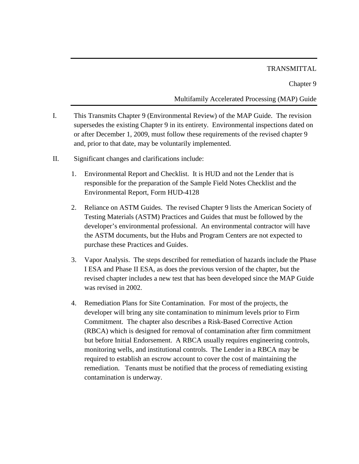## **TRANSMITTAL**

Chapter 9

## Multifamily Accelerated Processing (MAP) Guide

- I. This Transmits Chapter 9 (Environmental Review) of the MAP Guide. The revision supersedes the existing Chapter 9 in its entirety. Environmental inspections dated on or after December 1, 2009, must follow these requirements of the revised chapter 9 and, prior to that date, may be voluntarily implemented.
- II. Significant changes and clarifications include:
	- 1. Environmental Report and Checklist. It is HUD and not the Lender that is responsible for the preparation of the Sample Field Notes Checklist and the Environmental Report, Form HUD-4128
	- 2. Reliance on ASTM Guides. The revised Chapter 9 lists the American Society of Testing Materials (ASTM) Practices and Guides that must be followed by the developer's environmental professional. An environmental contractor will have the ASTM documents, but the Hubs and Program Centers are not expected to purchase these Practices and Guides.
	- 3. Vapor Analysis. The steps described for remediation of hazards include the Phase I ESA and Phase II ESA, as does the previous version of the chapter, but the revised chapter includes a new test that has been developed since the MAP Guide was revised in 2002.
	- 4. Remediation Plans for Site Contamination. For most of the projects, the developer will bring any site contamination to minimum levels prior to Firm Commitment. The chapter also describes a Risk-Based Corrective Action (RBCA) which is designed for removal of contamination after firm commitment but before Initial Endorsement. A RBCA usually requires engineering controls, monitoring wells, and institutional controls. The Lender in a RBCA may be required to establish an escrow account to cover the cost of maintaining the remediation. Tenants must be notified that the process of remediating existing contamination is underway.